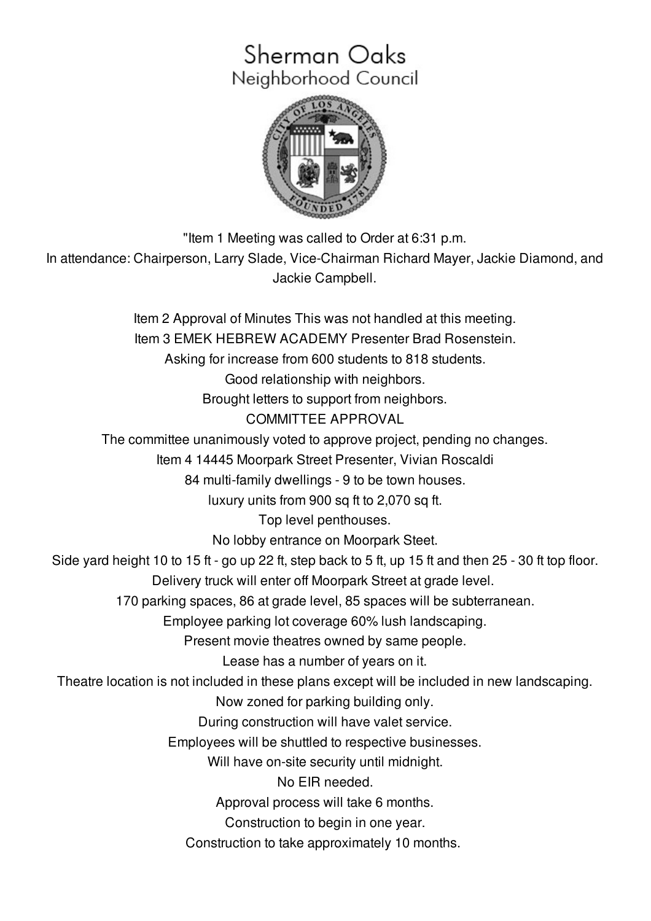# Sherman Oaks Neighborhood Council



"Item 1 Meeting was called to Order at 6:31 p.m. In attendance: Chairperson, Larry Slade, Vice-Chairman Richard Mayer, Jackie Diamond, and Jackie Campbell.

Item 2 Approval of Minutes This was not handled at this meeting. Item 3 EMEK HEBREW ACADEMY Presenter Brad Rosenstein. Asking for increase from 600 students to 818 students. Good relationship with neighbors. Brought letters to support from neighbors. COMMITTEE APPROVAL The committee unanimously voted to approve project, pending no changes. Item 4 14445 Moorpark Street Presenter, Vivian Roscaldi 84 multi-family dwellings - 9 to be town houses. luxury units from 900 sq ft to 2,070 sq ft. Top level penthouses. No lobby entrance on Moorpark Steet. Side yard height 10 to 15 ft - go up 22 ft, step back to 5 ft, up 15 ft and then 25 - 30 ft top floor. Delivery truck will enter off Moorpark Street at grade level. 170 parking spaces, 86 at grade level, 85 spaces will be subterranean. Employee parking lot coverage 60% lush landscaping. Present movie theatres owned by same people. Lease has a number of years on it. Theatre location is not included in these plans except will be included in new landscaping. Now zoned for parking building only. During construction will have valet service. Employees will be shuttled to respective businesses. Will have on-site security until midnight. No EIR needed. Approval process will take 6 months. Construction to begin in one year. Construction to take approximately 10 months.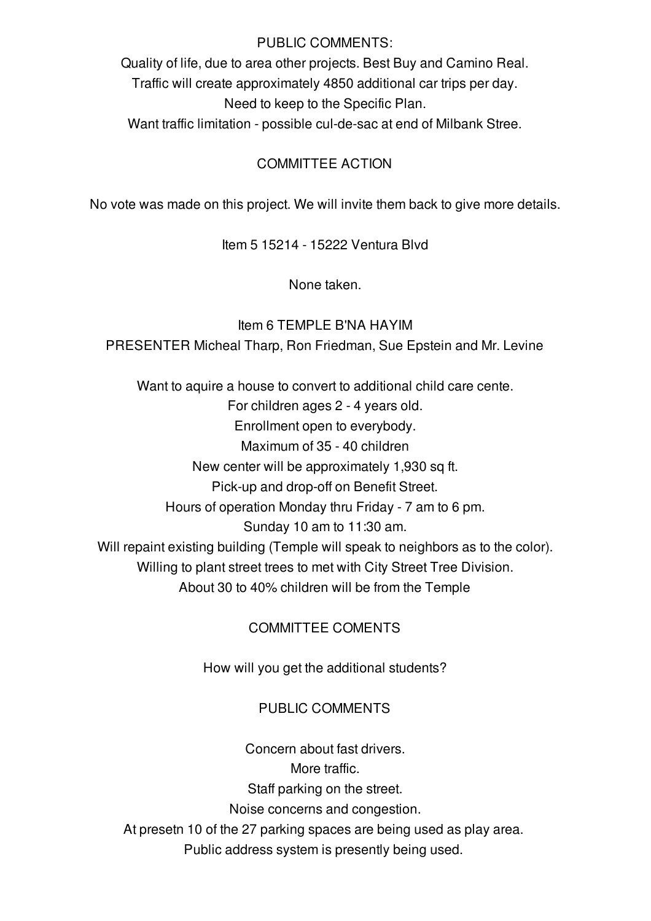#### PUBLIC COMMENTS:

Quality of life, due to area other projects. Best Buy and Camino Real. Traffic will create approximately 4850 additional car trips per day. Need to keep to the Specific Plan.

Want traffic limitation - possible cul-de-sac at end of Milbank Stree.

#### COMMITTEE ACTION

No vote was made on this project. We will invite them back to give more details.

Item 5 15214 - 15222 Ventura Blvd

None taken.

Item 6 TEMPLE B'NA HAYIM PRESENTER Micheal Tharp, Ron Friedman, Sue Epstein and Mr. Levine

Want to aquire a house to convert to additional child care cente. For children ages 2 - 4 years old. Enrollment open to everybody. Maximum of 35 - 40 children New center will be approximately 1,930 sq ft. Pick-up and drop-off on Benefit Street. Hours of operation Monday thru Friday - 7 am to 6 pm. Sunday 10 am to 11:30 am. Will repaint existing building (Temple will speak to neighbors as to the color). Willing to plant street trees to met with City Street Tree Division. About 30 to 40% children will be from the Temple

## COMMITTEE COMENTS

How will you get the additional students?

#### PUBLIC COMMENTS

Concern about fast drivers. More traffic. Staff parking on the street. Noise concerns and congestion. At presetn 10 of the 27 parking spaces are being used as play area. Public address system is presently being used.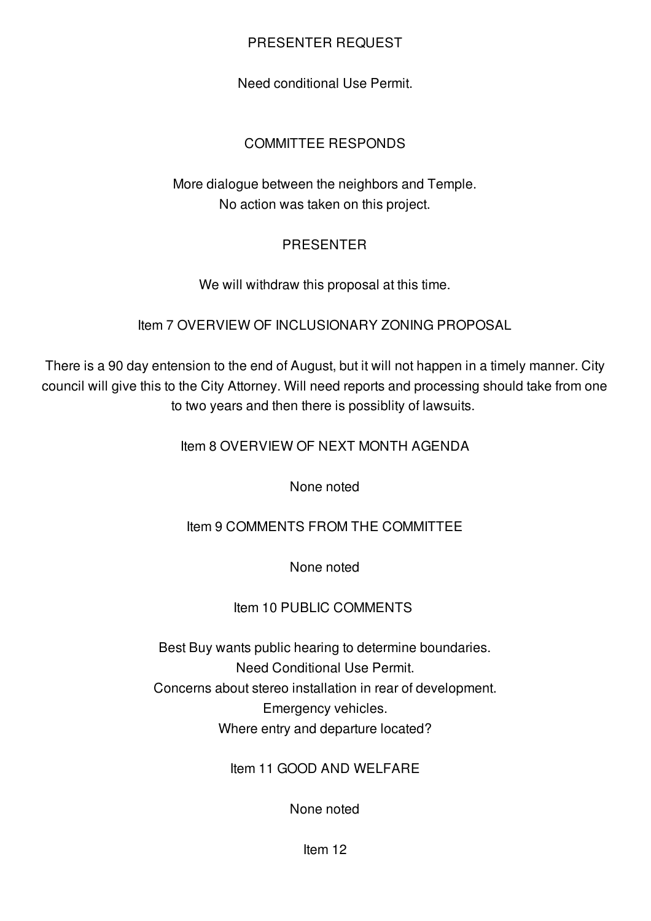### PRESENTER REQUEST

Need conditional Use Permit.

## COMMITTEE RESPONDS

More dialogue between the neighbors and Temple. No action was taken on this project.

#### PRESENTER

We will withdraw this proposal at this time.

Item 7 OVERVIEW OF INCLUSIONARY ZONING PROPOSAL

There is a 90 day entension to the end of August, but it will not happen in a timely manner. City council will give this to the City Attorney. Will need reports and processing should take from one to two years and then there is possiblity of lawsuits.

Item 8 OVERVIEW OF NEXT MONTH AGENDA

None noted

Item 9 COMMENTS FROM THE COMMITTEE

None noted

## Item 10 PUBLIC COMMENTS

Best Buy wants public hearing to determine boundaries. Need Conditional Use Permit. Concerns about stereo installation in rear of development. Emergency vehicles. Where entry and departure located?

Item 11 GOOD AND WELFARE

None noted

Item 12